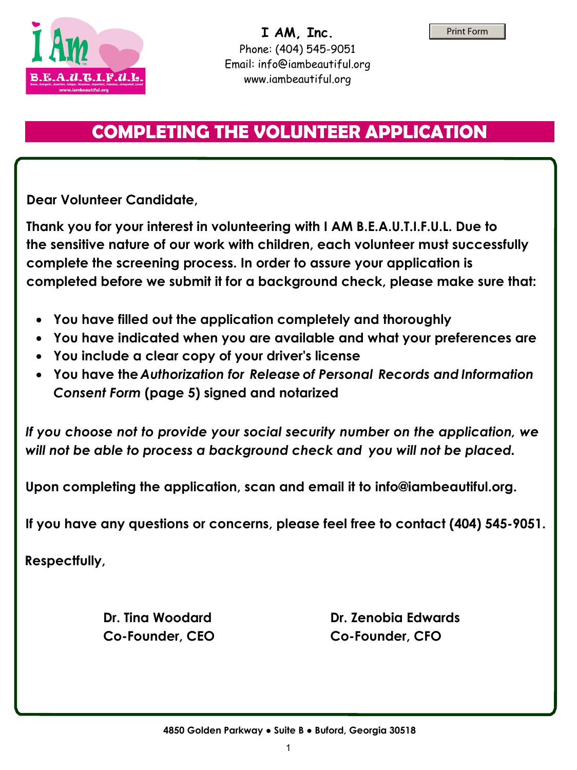

## **COMPLETING THE VOLUNTEER APPLICATION**

**Dear Volunteer Candidate,** 

**Thank you for your interest in volunteering with I AM B.E.A.U.T.I.F.U.L. Due to the sensitive nature of our work with children, each volunteer must successfully complete the screening process. In order to assure your application is completed before we submit it for a background check, please make sure that:** 

- **You have filled out the application completely and thoroughly**
- **You have indicated when you are available to serve within our organization.**
- **You submit your background check.**
- **Sign the application.**

**Upon completing the application, scan and email it to info@iambeautiful.org.**

**If you have any questions or concerns, please feel free to contact (404) 545-9051.**

**Respectfully,** 

ennifer Hammond **E** ecutive Director

**Dr. Tina Woodard Co-Founder**

**Dr. Zenobia Edwards Co-Founder**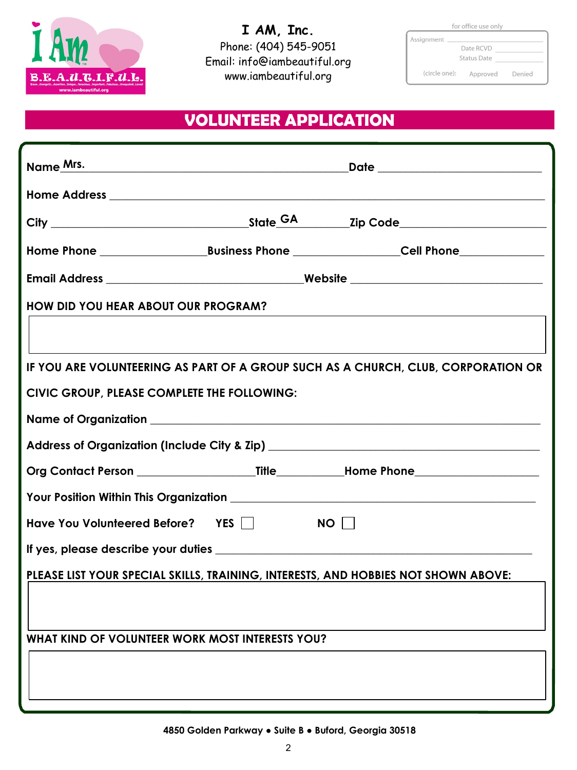Mrs.

GA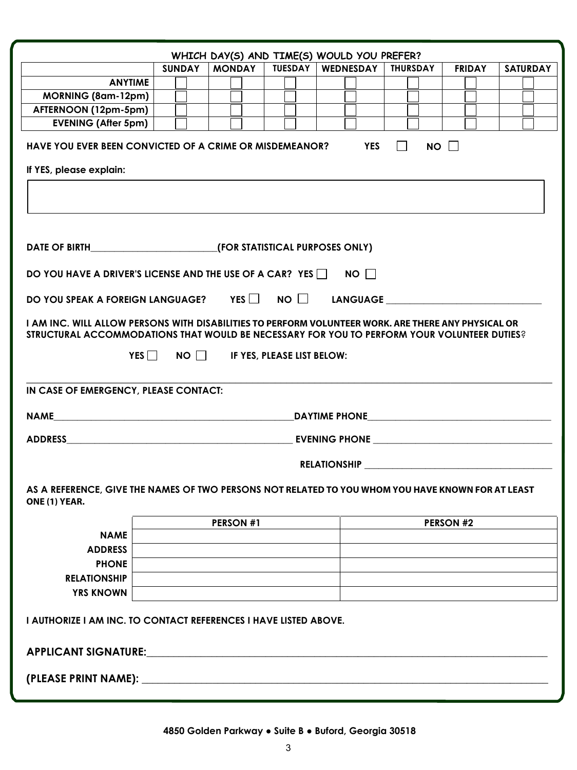| WHICH DAY(S) AND TIME(S) WOULD YOU PREFER?                                                                                                                                                         |                                   |  |  |                                                  |                  |               |                 |  |
|----------------------------------------------------------------------------------------------------------------------------------------------------------------------------------------------------|-----------------------------------|--|--|--------------------------------------------------|------------------|---------------|-----------------|--|
|                                                                                                                                                                                                    |                                   |  |  | SUNDAY   MONDAY   TUESDAY   WEDNESDAY   THURSDAY |                  | <b>FRIDAY</b> | <b>SATURDAY</b> |  |
| <b>ANYTIME</b>                                                                                                                                                                                     |                                   |  |  |                                                  |                  |               |                 |  |
| <b>MORNING (8am-12pm)</b>                                                                                                                                                                          |                                   |  |  |                                                  |                  |               |                 |  |
| AFTERNOON (12pm-5pm)                                                                                                                                                                               |                                   |  |  |                                                  |                  |               |                 |  |
| <b>EVENING (After 5pm)</b>                                                                                                                                                                         |                                   |  |  |                                                  |                  |               |                 |  |
| NO<br>HAVE YOU EVER BEEN CONVICTED OF A CRIME OR MISDEMEANOR?<br><b>YES</b><br>$\perp$                                                                                                             |                                   |  |  |                                                  |                  |               |                 |  |
| If YES, please explain:                                                                                                                                                                            |                                   |  |  |                                                  |                  |               |                 |  |
|                                                                                                                                                                                                    |                                   |  |  |                                                  |                  |               |                 |  |
|                                                                                                                                                                                                    |                                   |  |  |                                                  |                  |               |                 |  |
| DATE OF BIRTH (FOR STATISTICAL PURPOSES ONLY)                                                                                                                                                      |                                   |  |  |                                                  |                  |               |                 |  |
| DO YOU HAVE A DRIVER'S LICENSE AND THE USE OF A CAR? YES $\Box$ NO $\Box$                                                                                                                          |                                   |  |  |                                                  |                  |               |                 |  |
| DO YOU SPEAK A FOREIGN LANGUAGE? YES $\Box$ NO $\Box$ LANGUAGE $\Box$                                                                                                                              |                                   |  |  |                                                  |                  |               |                 |  |
| I AM INC. WILL ALLOW PERSONS WITH DISABILITIES TO PERFORM VOLUNTEER WORK. ARE THERE ANY PHYSICAL OR<br>STRUCTURAL ACCOMMODATIONS THAT WOULD BE NECESSARY FOR YOU TO PERFORM YOUR VOLUNTEER DUTIES? |                                   |  |  |                                                  |                  |               |                 |  |
| YES NO FYES, PLEASE LIST BELOW:                                                                                                                                                                    |                                   |  |  |                                                  |                  |               |                 |  |
| IN CASE OF EMERGENCY, PLEASE CONTACT:                                                                                                                                                              |                                   |  |  |                                                  |                  |               |                 |  |
|                                                                                                                                                                                                    | NAME NAME<br><b>DAYTIME PHONE</b> |  |  |                                                  |                  |               |                 |  |
|                                                                                                                                                                                                    |                                   |  |  |                                                  |                  |               |                 |  |
|                                                                                                                                                                                                    | <b>RELATIONSHIP</b>               |  |  |                                                  |                  |               |                 |  |
| AS A REFERENCE, GIVE THE NAMES OF TWO PERSONS NOT RELATED TO YOU WHOM YOU HAVE KNOWN FOR AT LEAST<br>ONE (1) YEAR.                                                                                 |                                   |  |  |                                                  |                  |               |                 |  |
|                                                                                                                                                                                                    | <b>PERSON #1</b>                  |  |  |                                                  | <b>PERSON #2</b> |               |                 |  |
| <b>NAME</b>                                                                                                                                                                                        |                                   |  |  |                                                  |                  |               |                 |  |
| <b>ADDRESS</b>                                                                                                                                                                                     |                                   |  |  |                                                  |                  |               |                 |  |
| <b>PHONE</b>                                                                                                                                                                                       |                                   |  |  |                                                  |                  |               |                 |  |
| <b>RELATIONSHIP</b>                                                                                                                                                                                |                                   |  |  |                                                  |                  |               |                 |  |
| <b>YRS KNOWN</b>                                                                                                                                                                                   |                                   |  |  |                                                  |                  |               |                 |  |
| I AUTHORIZE I AM INC. TO CONTACT REFERENCES I HAVE LISTED ABOVE.                                                                                                                                   |                                   |  |  |                                                  |                  |               |                 |  |
| APPLICANT SIGNATURE: 2008 2010 2020 2021 2021 2022 2023 2024 2022 2023 2024 2022 2023 2024 2022 2023 2024 2022                                                                                     |                                   |  |  |                                                  |                  |               |                 |  |
|                                                                                                                                                                                                    |                                   |  |  |                                                  |                  |               |                 |  |